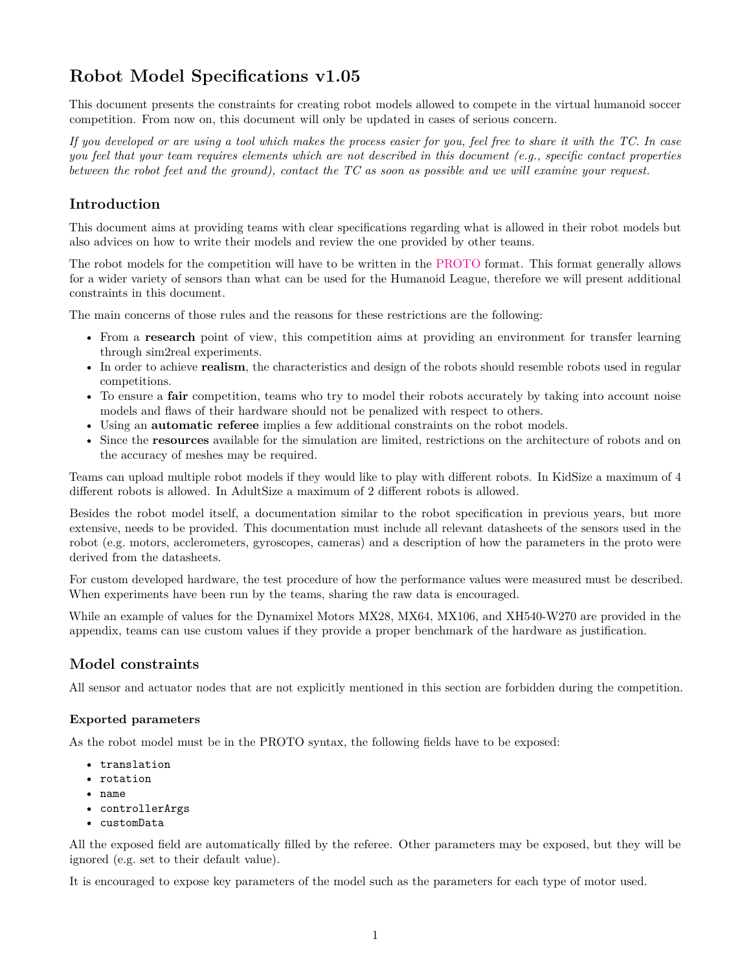# **Robot Model Specifications v1.05**

This document presents the constraints for creating robot models allowed to compete in the virtual humanoid soccer competition. From now on, this document will only be updated in cases of serious concern.

*If you developed or are using a tool which makes the process easier for you, feel free to share it with the TC. In case you feel that your team requires elements which are not described in this document (e.g., specific contact properties between the robot feet and the ground), contact the TC as soon as possible and we will examine your request.*

# **Introduction**

This document aims at providing teams with clear specifications regarding what is allowed in their robot models but also advices on how to write their models and review the one provided by other teams.

The robot models for the competition will have to be written in the [PROTO](https://cyberbotics.com/doc/reference/proto) format. This format generally allows for a wider variety of sensors than what can be used for the Humanoid League, therefore we will present additional constraints in this document.

The main concerns of those rules and the reasons for these restrictions are the following:

- From a **research** point of view, this competition aims at providing an environment for transfer learning through sim2real experiments.
- In order to achieve **realism**, the characteristics and design of the robots should resemble robots used in regular competitions.
- To ensure a **fair** competition, teams who try to model their robots accurately by taking into account noise models and flaws of their hardware should not be penalized with respect to others.
- Using an **automatic referee** implies a few additional constraints on the robot models.
- Since the **resources** available for the simulation are limited, restrictions on the architecture of robots and on the accuracy of meshes may be required.

Teams can upload multiple robot models if they would like to play with different robots. In KidSize a maximum of 4 different robots is allowed. In AdultSize a maximum of 2 different robots is allowed.

Besides the robot model itself, a documentation similar to the robot specification in previous years, but more extensive, needs to be provided. This documentation must include all relevant datasheets of the sensors used in the robot (e.g. motors, acclerometers, gyroscopes, cameras) and a description of how the parameters in the proto were derived from the datasheets.

For custom developed hardware, the test procedure of how the performance values were measured must be described. When experiments have been run by the teams, sharing the raw data is encouraged.

While an example of values for the Dynamixel Motors MX28, MX64, MX106, and XH540-W270 are provided in the appendix, teams can use custom values if they provide a proper benchmark of the hardware as justification.

# **Model constraints**

All sensor and actuator nodes that are not explicitly mentioned in this section are forbidden during the competition.

## **Exported parameters**

As the robot model must be in the PROTO syntax, the following fields have to be exposed:

- translation
- rotation
- name
- controllerArgs
- customData

All the exposed field are automatically filled by the referee. Other parameters may be exposed, but they will be ignored (e.g. set to their default value).

It is encouraged to expose key parameters of the model such as the parameters for each type of motor used.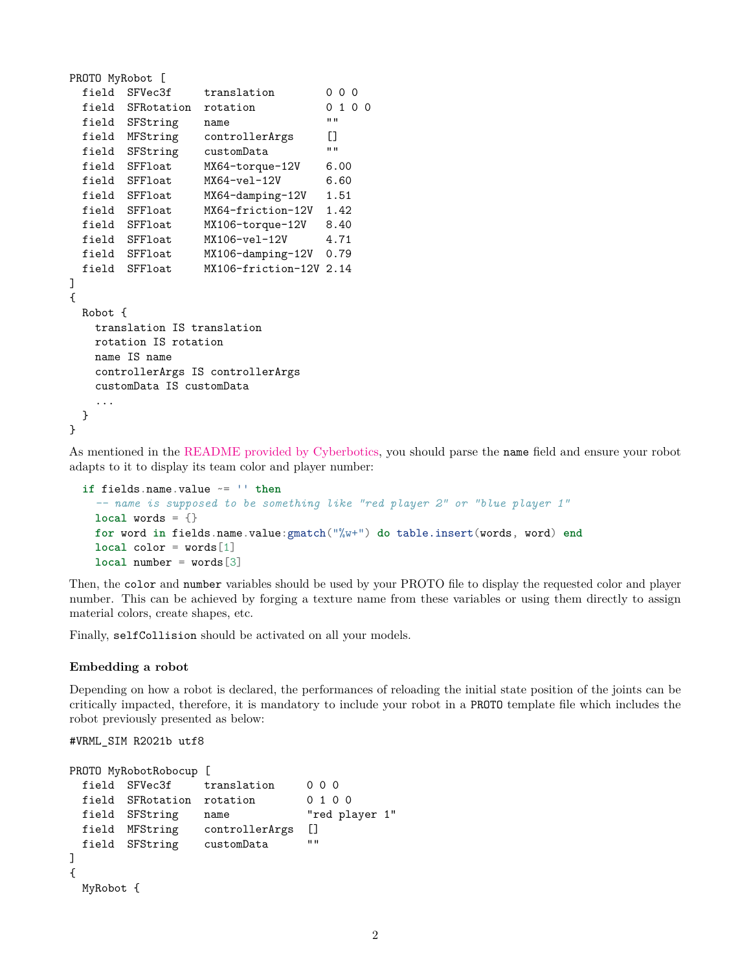```
PROTO MyRobot [
 field SFVec3f translation 0000
 field SFRotation rotation 0 1 0 0
 field SFString name ""
 field MFString controllerArgs []
 field SFString customData ""
 field SFFloat MX64-torque-12V 6.00
 field SFFloat MX64-vel-12V 6.60
 field SFFloat MX64-damping-12V 1.51
 field SFFloat MX64-friction-12V 1.42
 field SFFloat MX106-torque-12V 8.40
 field SFFloat MX106-vel-12V 4.71
 field SFFloat MX106-damping-12V 0.79
 field SFFloat MX106-friction-12V 2.14
]
{
 Robot {
   translation IS translation
   rotation IS rotation
   name IS name
   controllerArgs IS controllerArgs
   customData IS customData
   ...
 }
}
```
As mentioned in the [README provided by Cyberbotics,](https://github.com/cyberbotics/webots/blob/feature-robocup-controllers/projects/samples/contests/robocup/README.md) you should parse the name field and ensure your robot adapts to it to display its team color and player number:

```
if fields.name.value ~= '' then
  -- name is supposed to be something like "red player 2" or "blue player 1"
 local words = {}for word in fields.name.value:gmatch("%w+") do table.insert(words, word) end
 local color = words[1]
 local number = words[3]
```
Then, the color and number variables should be used by your PROTO file to display the requested color and player number. This can be achieved by forging a texture name from these variables or using them directly to assign material colors, create shapes, etc.

Finally, selfCollision should be activated on all your models.

#### **Embedding a robot**

Depending on how a robot is declared, the performances of reloading the initial state position of the joints can be critically impacted, therefore, it is mandatory to include your robot in a PROTO template file which includes the robot previously presented as below:

#VRML\_SIM R2021b utf8

```
PROTO MyRobotRobocup [
 field SFVec3f translation 0 0 0
 field SFRotation rotation 0 1 0 0
 field SFString name "red player 1"
 field MFString controllerArgs []
 field SFString customData ""
]
{
 MyRobot {
```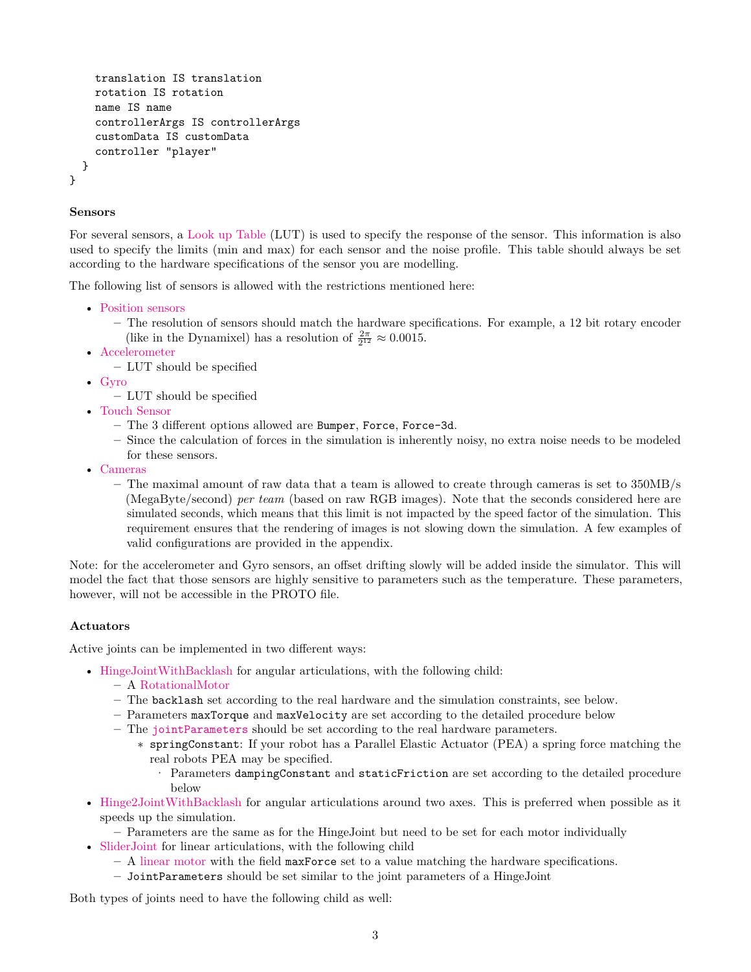```
translation IS translation
    rotation IS rotation
    name IS name
    controllerArgs IS controllerArgs
    customData IS customData
    controller "player"
  }
}
```
## **Sensors**

For several sensors, a [Look up Table](https://cyberbotics.com/doc/reference/distancesensor#lookup-table) (LUT) is used to specify the response of the sensor. This information is also used to specify the limits (min and max) for each sensor and the noise profile. This table should always be set according to the hardware specifications of the sensor you are modelling.

The following list of sensors is allowed with the restrictions mentioned here:

- [Position sensors](https://cyberbotics.com/doc/reference/positionsensor)
	- **–** The resolution of sensors should match the hardware specifications. For example, a 12 bit rotary encoder (like in the Dynamixel) has a resolution of  $\frac{2\pi}{2^{12}} \approx 0.0015$ .
- [Accelerometer](https://cyberbotics.com/doc/reference/accelerometer)
	- **–** LUT should be specified
- [Gyro](https://cyberbotics.com/doc/reference/gyro)
	- **–** LUT should be specified
- [Touch Sensor](https://cyberbotics.com/doc/reference/touchsensor)
	- **–** The 3 different options allowed are Bumper, Force, Force-3d.
	- **–** Since the calculation of forces in the simulation is inherently noisy, no extra noise needs to be modeled for these sensors.
- [Cameras](https://cyberbotics.com/doc/reference/camera)
	- **–** The maximal amount of raw data that a team is allowed to create through cameras is set to 350MB/s (MegaByte/second) *per team* (based on raw RGB images). Note that the seconds considered here are simulated seconds, which means that this limit is not impacted by the speed factor of the simulation. This requirement ensures that the rendering of images is not slowing down the simulation. A few examples of valid configurations are provided in the appendix.

Note: for the accelerometer and Gyro sensors, an offset drifting slowly will be added inside the simulator. This will model the fact that those sensors are highly sensitive to parameters such as the temperature. These parameters, however, will not be accessible in the PROTO file.

### **Actuators**

Active joints can be implemented in two different ways:

- [HingeJointWithBacklash](https://github.com/cyberbotics/webots/blob/develop/docs/guide/hinge-joint-with-backlash.md) for angular articulations, with the following child:
	- **–** A [RotationalMotor](https://cyberbotics.com/doc/reference/rotationalmotor)
	- **–** The backlash set according to the real hardware and the simulation constraints, see below.
	- **–** Parameters maxTorque and maxVelocity are set according to the detailed procedure below
	- **–** The [jointParameters](https://cyberbotics.com/doc/reference/jointparameters) should be set according to the real hardware parameters.
		- ∗ springConstant: If your robot has a Parallel Elastic Actuator (PEA) a spring force matching the real robots PEA may be specified.
			- · Parameters dampingConstant and staticFriction are set according to the detailed procedure below
- [Hinge2JointWithBacklash](https://github.com/cyberbotics/webots/blob/develop/docs/guide/hinge-2-joint-with-backlash.md) for angular articulations around two axes. This is preferred when possible as it speeds up the simulation.
	- **–** Parameters are the same as for the HingeJoint but need to be set for each motor individually
- [SliderJoint](https://cyberbotics.com/doc/reference/sliderjoint) for linear articulations, with the following child
	- **–** A [linear motor](https://cyberbotics.com/doc/reference/linearmotor) with the field maxForce set to a value matching the hardware specifications.
	- **–** JointParameters should be set similar to the joint parameters of a HingeJoint

Both types of joints need to have the following child as well: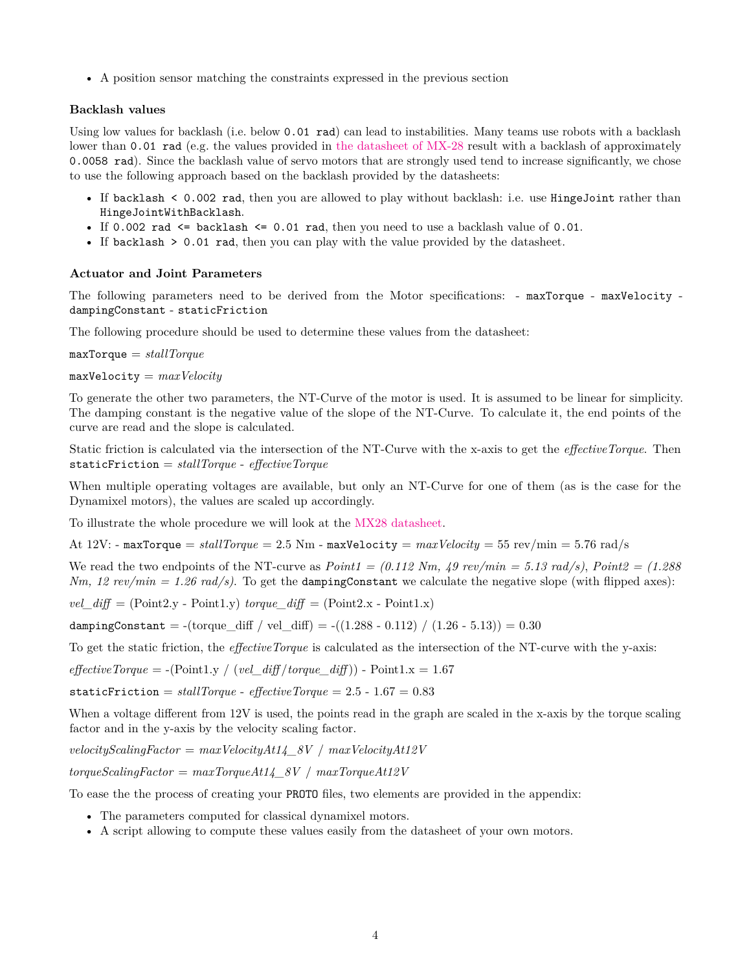• A position sensor matching the constraints expressed in the previous section

## **Backlash values**

Using low values for backlash (i.e. below 0.01 rad) can lead to instabilities. Many teams use robots with a backlash lower than 0.01 rad (e.g. the values provided in [the datasheet of MX-28](https://emanual.robotis.com/docs/en/dxl/mx/mx-28-2/) result with a backlash of approximately 0.0058 rad). Since the backlash value of servo motors that are strongly used tend to increase significantly, we chose to use the following approach based on the backlash provided by the datasheets:

- If backlash < 0.002 rad, then you are allowed to play without backlash: i.e. use HingeJoint rather than HingeJointWithBacklash.
- If 0.002 rad  $\leq$  backlash  $\leq$  0.01 rad, then you need to use a backlash value of 0.01.
- If backlash > 0.01 rad, then you can play with the value provided by the datasheet.

## **Actuator and Joint Parameters**

The following parameters need to be derived from the Motor specifications: - maxTorque - maxVelocity dampingConstant - staticFriction

The following procedure should be used to determine these values from the datasheet:

maxTorque = *stallTorque*

maxVelocity = *maxVelocity*

To generate the other two parameters, the NT-Curve of the motor is used. It is assumed to be linear for simplicity. The damping constant is the negative value of the slope of the NT-Curve. To calculate it, the end points of the curve are read and the slope is calculated.

Static friction is calculated via the intersection of the NT-Curve with the x-axis to get the *effectiveTorque*. Then staticFriction = *stallTorque* - *effectiveTorque*

When multiple operating voltages are available, but only an NT-Curve for one of them (as is the case for the Dynamixel motors), the values are scaled up accordingly.

To illustrate the whole procedure we will look at the [MX28 datasheet.](https://emanual.robotis.com/docs/en/dxl/mx/mx-28-2/)

At  $12V:$  - maxTorque =  $stallTorque = 2.5$  Nm - maxVelocity =  $maxVelocity = 55$  rev/min = 5.76 rad/s

We read the two endpoints of the NT-curve as  $Point1 = (0.112 Nm, 49 \text{ rev/min} = 5.13 \text{ rad/s})$ ,  $Point2 = (1.288$ *Nm, 12 rev/min = 1.26 rad/s)*. To get the dampingConstant we calculate the negative slope (with flipped axes):

 $vel\_diff = (Point2.y - Point1.y)$  *torque\_diff* =  $(Point2.x - Point1.x)$ 

dampingConstant =  $-(\text{torque\_diff} / \text{vel\_diff}) = ((1.288 - 0.112) / (1.26 - 5.13)) = 0.30$ 

To get the static friction, the *effectiveTorque* is calculated as the intersection of the NT-curve with the y-axis:

 $effective Torque = -(Point 1, y \mid (vel \text{ diff/torque \text{ diff}}))$  -  $Point 1, x = 1.67$ 

staticFriction =  $stallTorque$  -  $effectiveTorque = 2.5 - 1.67 = 0.83$ 

When a voltage different from 12V is used, the points read in the graph are scaled in the x-axis by the torque scaling factor and in the y-axis by the velocity scaling factor.

*velocityScalingFactor* = *maxVelocityAt14\_8V* / *maxVelocityAt12V*

*torqueScalingFactor* = *maxTorqueAt14\_8V* / *maxTorqueAt12V*

To ease the the process of creating your PROTO files, two elements are provided in the appendix:

- The parameters computed for classical dynamixel motors.
- A script allowing to compute these values easily from the datasheet of your own motors.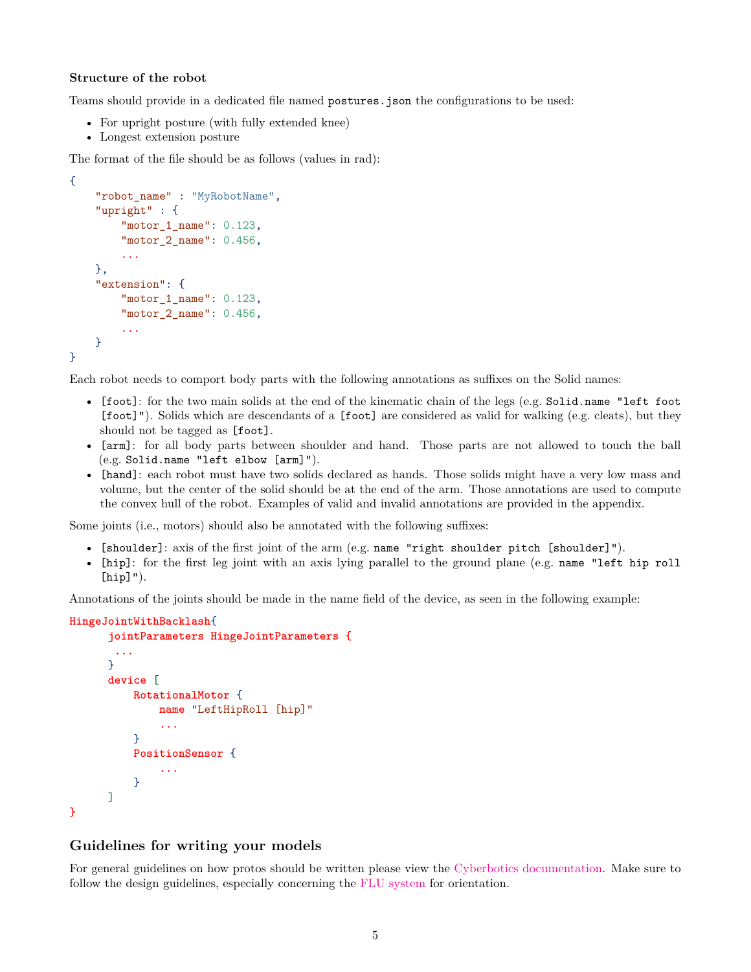#### **Structure of the robot**

Teams should provide in a dedicated file named postures.json the configurations to be used:

- For upright posture (with fully extended knee)
- Longest extension posture

The format of the file should be as follows (values in rad):

```
{
    "robot_name" : "MyRobotName",
    "upright" : {
        "motor 1 name": 0.123,
        "motor 2 name": 0.456,
        ...
    },
    "extension": {
        "motor_1_name": 0.123,
        "motor_2_name": 0.456,
        ...
    }
}
```
Each robot needs to comport body parts with the following annotations as suffixes on the Solid names:

- [foot]: for the two main solids at the end of the kinematic chain of the legs (e.g. Solid.name "left foot [foot]"). Solids which are descendants of a [foot] are considered as valid for walking (e.g. cleats), but they should not be tagged as [foot].
- [arm]: for all body parts between shoulder and hand. Those parts are not allowed to touch the ball (e.g. Solid.name "left elbow [arm]").
- [hand]: each robot must have two solids declared as hands. Those solids might have a very low mass and volume, but the center of the solid should be at the end of the arm. Those annotations are used to compute the convex hull of the robot. Examples of valid and invalid annotations are provided in the appendix.

Some joints (i.e., motors) should also be annotated with the following suffixes:

- [shoulder]: axis of the first joint of the arm (e.g. name "right shoulder pitch [shoulder]").
- [hip]: for the first leg joint with an axis lying parallel to the ground plane (e.g. name "left hip roll  $[hip]$ ").

Annotations of the joints should be made in the name field of the device, as seen in the following example:

#### **HingeJointWithBacklash**{

**}**

```
jointParameters HingeJointParameters {
 ...
}
device [
    RotationalMotor {
        name "LeftHipRoll [hip]"
        ...
    }
    PositionSensor {
        ...
    }
]
```
#### **Guidelines for writing your models**

For general guidelines on how protos should be written please view the [Cyberbotics documentation.](https://cyberbotics.com/doc/reference/proto) Make sure to follow the design guidelines, especially concerning the [FLU system](https://cyberbotics.com/doc/reference/proto-design-guidelines#orientation) for orientation.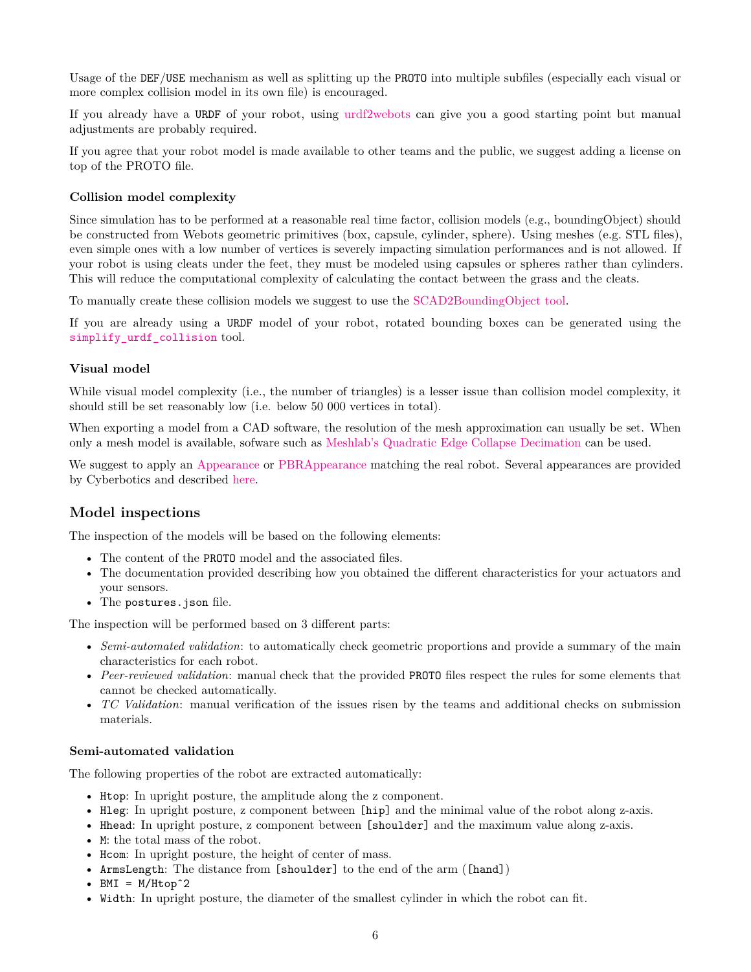Usage of the DEF/USE mechanism as well as splitting up the PROTO into multiple subfiles (especially each visual or more complex collision model in its own file) is encouraged.

If you already have a URDF of your robot, using [urdf2webots](https://github.com/cyberbotics/urdf2webots) can give you a good starting point but manual adjustments are probably required.

If you agree that your robot model is made available to other teams and the public, we suggest adding a license on top of the PROTO file.

#### **Collision model complexity**

Since simulation has to be performed at a reasonable real time factor, collision models (e.g., boundingObject) should be constructed from Webots geometric primitives (box, capsule, cylinder, sphere). Using meshes (e.g. STL files), even simple ones with a low number of vertices is severely impacting simulation performances and is not allowed. If your robot is using cleats under the feet, they must be modeled using capsules or spheres rather than cylinders. This will reduce the computational complexity of calculating the contact between the grass and the cleats.

To manually create these collision models we suggest to use the [SCAD2BoundingObject tool.](https://github.com/bit-bots/SCAD2BoundingObject)

If you are already using a URDF model of your robot, rotated bounding boxes can be generated using the [simplify\\_urdf\\_collision](https://github.com/bit-bots/simplify_urdf_collision) tool.

## **Visual model**

While visual model complexity (i.e., the number of triangles) is a lesser issue than collision model complexity, it should still be set reasonably low (i.e. below 50 000 vertices in total).

When exporting a model from a CAD software, the resolution of the mesh approximation can usually be set. When only a mesh model is available, sofware such as [Meshlab's Quadratic Edge Collapse Decimation](https://www.youtube.com/watch?v=PWM6EGVVNQU) can be used.

We suggest to apply an [Appearance](https://cyberbotics.com/doc/reference/appearance) or [PBRAppearance](https://cyberbotics.com/doc/reference/pbrappearance) matching the real robot. Several appearances are provided by Cyberbotics and described [here.](https://www.cyberbotics.com/doc/guide/appearances)

# **Model inspections**

The inspection of the models will be based on the following elements:

- The content of the PROTO model and the associated files.
- The documentation provided describing how you obtained the different characteristics for your actuators and your sensors.
- The postures. json file.

The inspection will be performed based on 3 different parts:

- *Semi-automated validation*: to automatically check geometric proportions and provide a summary of the main characteristics for each robot.
- *Peer-reviewed validation*: manual check that the provided PROTO files respect the rules for some elements that cannot be checked automatically.
- *TC Validation*: manual verification of the issues risen by the teams and additional checks on submission materials.

#### **Semi-automated validation**

The following properties of the robot are extracted automatically:

- Htop: In upright posture, the amplitude along the z component.
- Hleg: In upright posture, z component between [hip] and the minimal value of the robot along z-axis.
- Hhead: In upright posture, z component between [shoulder] and the maximum value along z-axis.
- M: the total mass of the robot.
- Hom: In upright posture, the height of center of mass.
- ArmsLength: The distance from [shoulder] to the end of the arm ([hand])
- $BMI = M/Htop^2$
- Width: In upright posture, the diameter of the smallest cylinder in which the robot can fit.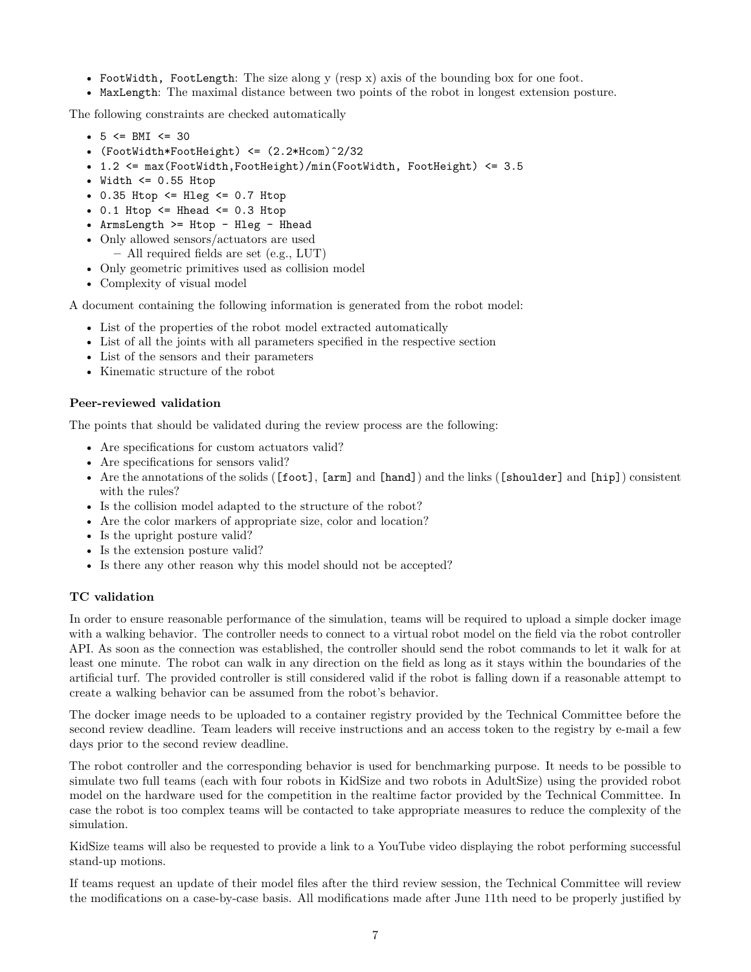- FootWidth, FootLength: The size along y (resp x) axis of the bounding box for one foot.
- MaxLength: The maximal distance between two points of the robot in longest extension posture.

The following constraints are checked automatically

- $5 \le$  BMI  $\le$  30
- (FootWidth\*FootHeight) <= (2.2\*Hcom)ˆ2/32
- 1.2 <= max(FootWidth,FootHeight)/min(FootWidth, FootHeight) <= 3.5
- Width  $\leq$  0.55 Htop
- $0.35$  Htop  $\leq$  Hleg  $\leq$  0.7 Htop
- $0.1$  Htop  $\leq$  Hhead  $\leq$  0.3 Htop
- ArmsLength >= Htop Hleg Hhead
- Only allowed sensors/actuators are used
	- **–** All required fields are set (e.g., LUT)
- Only geometric primitives used as collision model
- Complexity of visual model

A document containing the following information is generated from the robot model:

- List of the properties of the robot model extracted automatically
- List of all the joints with all parameters specified in the respective section
- List of the sensors and their parameters
- Kinematic structure of the robot

## **Peer-reviewed validation**

The points that should be validated during the review process are the following:

- Are specifications for custom actuators valid?
- Are specifications for sensors valid?
- Are the annotations of the solids ([foot], [arm] and [hand]) and the links ([shoulder] and [hip]) consistent with the rules?
- Is the collision model adapted to the structure of the robot?
- Are the color markers of appropriate size, color and location?
- Is the upright posture valid?
- Is the extension posture valid?
- Is there any other reason why this model should not be accepted?

## **TC validation**

In order to ensure reasonable performance of the simulation, teams will be required to upload a simple docker image with a walking behavior. The controller needs to connect to a virtual robot model on the field via the robot controller API. As soon as the connection was established, the controller should send the robot commands to let it walk for at least one minute. The robot can walk in any direction on the field as long as it stays within the boundaries of the artificial turf. The provided controller is still considered valid if the robot is falling down if a reasonable attempt to create a walking behavior can be assumed from the robot's behavior.

The docker image needs to be uploaded to a container registry provided by the Technical Committee before the second review deadline. Team leaders will receive instructions and an access token to the registry by e-mail a few days prior to the second review deadline.

The robot controller and the corresponding behavior is used for benchmarking purpose. It needs to be possible to simulate two full teams (each with four robots in KidSize and two robots in AdultSize) using the provided robot model on the hardware used for the competition in the realtime factor provided by the Technical Committee. In case the robot is too complex teams will be contacted to take appropriate measures to reduce the complexity of the simulation.

KidSize teams will also be requested to provide a link to a YouTube video displaying the robot performing successful stand-up motions.

If teams request an update of their model files after the third review session, the Technical Committee will review the modifications on a case-by-case basis. All modifications made after June 11th need to be properly justified by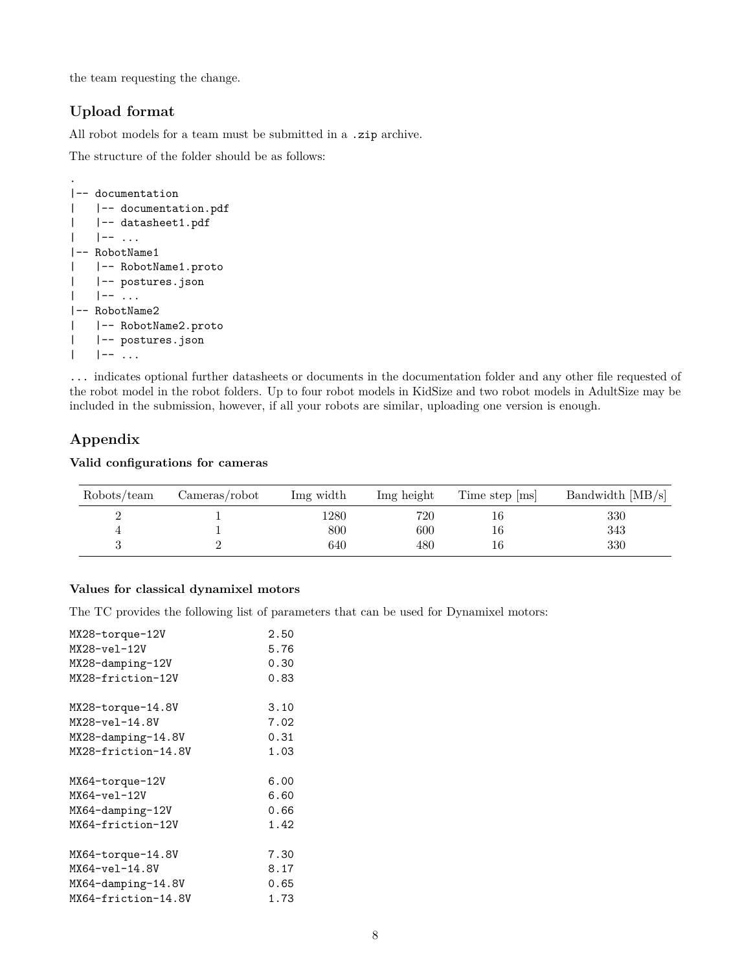the team requesting the change.

# **Upload format**

All robot models for a team must be submitted in a  $\,$  .zip archive.

The structure of the folder should be as follows:

```
.
|-- documentation
| |-- documentation.pdf
| |-- datasheet1.pdf
| \cdot | \cdot | -- ...
|-- RobotName1
| |-- RobotName1.proto
| |-- postures.json
| - | - - |...
|-- RobotName2
| |-- RobotName2.proto
| |-- postures.json
| |-- ...
```
... indicates optional further datasheets or documents in the documentation folder and any other file requested of the robot model in the robot folders. Up to four robot models in KidSize and two robot models in AdultSize may be included in the submission, however, if all your robots are similar, uploading one version is enough.

# **Appendix**

**Valid configurations for cameras**

| Robots/team | Cameras/robot | Img width | Img height | Time step [ms] | Bandwidth $[MB/s]$ |
|-------------|---------------|-----------|------------|----------------|--------------------|
|             |               | 1280      | 720        | 16.            | 330                |
|             |               | 800       | 600        | 16             | 343                |
|             |               | 640       | 480        | 16             | 330                |

## **Values for classical dynamixel motors**

The TC provides the following list of parameters that can be used for Dynamixel motors:

| MX28-torque-12V       | 2.50 |
|-----------------------|------|
| $MX28 - ve1 - 12V$    | 5.76 |
| MX28-damping-12V      | 0.30 |
| MX28-friction-12V     | 0.83 |
|                       |      |
| MX28-torque-14.8V     | 3.10 |
| $MX28 - ve1 - 14.8V$  | 7.02 |
| $MX28$ -damping-14.8V | 0.31 |
| MX28-friction-14.8V   | 1.03 |
|                       |      |
|                       |      |
| MX64-torque-12V       | 6.00 |
| $MX64 - ve1 - 12V$    | 6.60 |
| MX64-damping-12V      | 0.66 |
| MX64-friction-12V     | 1.42 |
|                       |      |
| MX64-torque-14.8V     | 7.30 |
| MX64-vel-14.8V        | 8.17 |
| MX64-damping-14.8V    | 0.65 |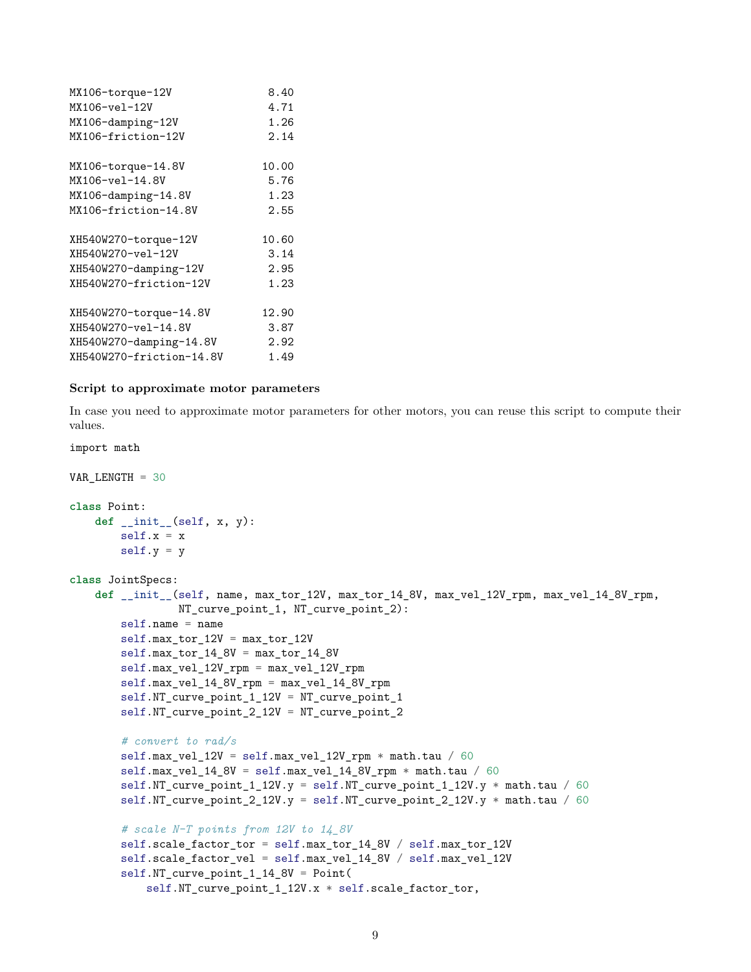| MX106-torque-12V         | 8.40  |
|--------------------------|-------|
| MX106-vel-12V            | 4.71  |
| MX106-damping-12V        | 1.26  |
| MX106-friction-12V       | 2.14  |
|                          |       |
| MX106-torque-14.8V       | 10.00 |
| MX106-yel-14.8V          | 5.76  |
| $MX106$ -damping-14.8V   | 1.23  |
| MX106-friction-14.8V     | 2.55  |
|                          |       |
| XH540W270-torque-12V     | 10.60 |
| XH540W270-vel-12V        | 3.14  |
| XH540W270-damping-12V    | 2.95  |
| XH540W270-friction-12V   | 1.23  |
|                          |       |
| XH540W270-torque-14.8V   | 12.90 |
| XH540W270-vel-14.8V      | 3.87  |
| XH540W270-damping-14.8V  | 2.92  |
| XH540W270-friction-14.8V | 1.49  |

#### **Script to approximate motor parameters**

import math

In case you need to approximate motor parameters for other motors, you can reuse this script to compute their values.

```
VAR_LENGTH = 30
class Point:
    def __init__(self, x, y):
       self.x = xself.y = yclass JointSpecs:
    def __init__(self, name, max_tor_12V, max_tor_14_8V, max_vel_12V_rpm, max_vel_14_8V_rpm,
                 NT_curve_point_1, NT_curve_point_2):
        self.name = name
        self.max_tor_12V = max_tor_12Vself.max_tor_14_8V = max_tor_14_8Vself.max_vel_12V_rpm = max_vel_12V_rpm
        self.max_vel_14_8V_rpm = max_vel_14_8V_rpm
        self.NT_curve_point_1_12V = NT_curve_point_1
        self.NT_curve_point_2_12V = NT_curve_point_2
        # convert to rad/s
        self.max_vel_12V = self.max_vel_12V_rpm * math.tau / 60
        self.max_vel_14_8V = self.max_vel_14_8V_rpm * math.tau / 60
        self.NT_curve_point_1_12V.y = self.NT_curve_point_1_12V.y * math.tau / 60
        self.NT_curve_point_2_12V.y = self.NT_curve_point_2_12V.y * math.tau / 60
        # scale N-T points from 12V to 14_8V
        self.scale_factor_tor = self.max_tor_14_8V / self.max_tor_12V
        self.scale_factor_vel = self.max_vel_14_8V / self.max_vel_12V
        self.NT_curve_point_1_14_8V = Point(
            self.NT_curve_point_1_12V.x * self.scale_factor_tor,
```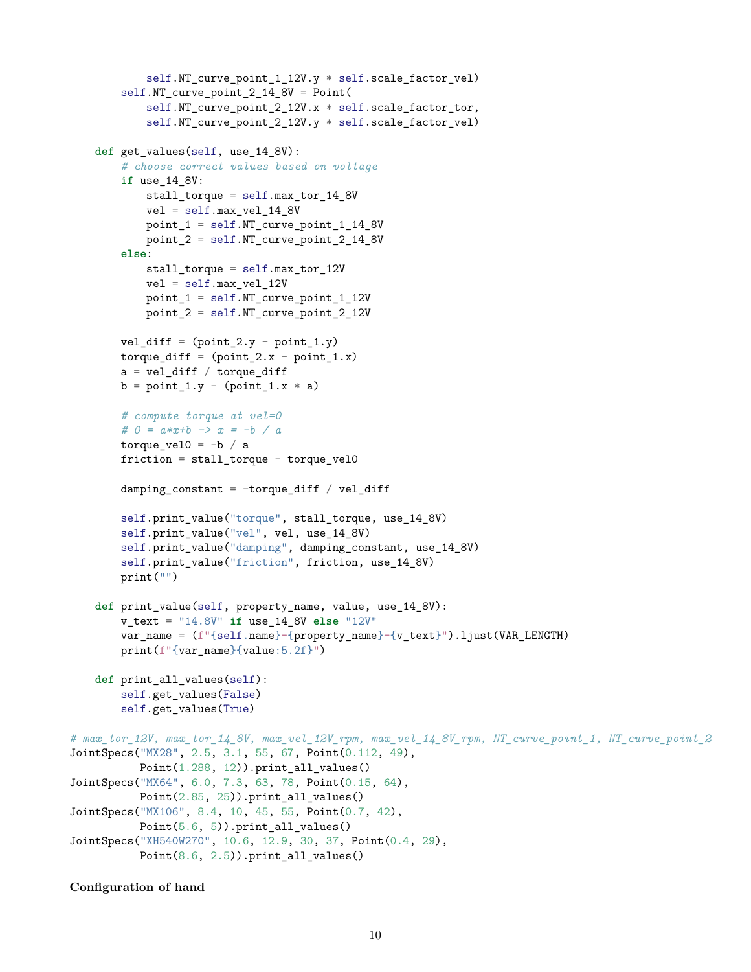```
self.NT_curve_point_1_12V.y * self.scale_factor_vel)
        self.NT_curve_point_2_14_8V = Point(
            self.NT_curve_point_2_12V.x * self.scale_factor_tor,
            self.NT_curve_point_2_12V.y * self.scale_factor_vel)
    def get_values(self, use_14_8V):
        # choose correct values based on voltage
        if use_14_8V:
           stall_torque = self.max_tor_14_8V
           vel = self.max_vel_14_8V
           point_1 = self.NT_curve_point_1_14_8V
           point 2 = \text{self.M} curve point 2 14 8V
        else:
           stall_torque = self.max_tor_12V
            vel = self.max_vel_12V
            point_1 = self.NT_curve_point_1_12V
            point_2 = self.NT_curve_point_2_12V
        vel\_diff = (point_2.y - point_1.y)torque\_diff = (point_2.x - point_1.x)a = vel\_diff / torque\_diffb = point_1.y - (point_1.x * a)# compute torque at vel=0
        # 0 = a*x+b -> x = -b / a
        torque_vel0 = -b / afriction = stall_torque - torque_vel0
        damping constant = -torque diff / vel diff
        self.print_value("torque", stall_torque, use_14_8V)
        self.print_value("vel", vel, use_14_8V)
        self.print_value("damping", damping_constant, use_14_8V)
        self.print_value("friction", friction, use_14_8V)
        print("")
    def print_value(self, property_name, value, use_14_8V):
        v_text = "14.8V" if use_14_8V else "12V"
        var_name = (f"{self.name}-{property_name}-{v_text}").ljust(VAR_LENGTH)
        print(f"{var_name}{value:5.2f}")
    def print_all_values(self):
        self.get_values(False)
        self.get_values(True)
# max_tor_12V, max_tor_14_8V, max_vel_12V_rpm, max_vel_14_8V_rpm, NT_curve_point_1, NT_curve_point_2
JointSpecs("MX28", 2.5, 3.1, 55, 67, Point(0.112, 49),
          Point(1.288, 12)).print all values()
JointSpecs("MX64", 6.0, 7.3, 63, 78, Point(0.15, 64),
          Point(2.85, 25)).print_all_values()
JointSpecs("MX106", 8.4, 10, 45, 55, Point(0.7, 42),
          Point(5.6, 5)).print_all_values()
JointSpecs("XH540W270", 10.6, 12.9, 30, 37, Point(0.4, 29),
          Point(8.6, 2.5)).print_all_values()
```
#### **Configuration of hand**